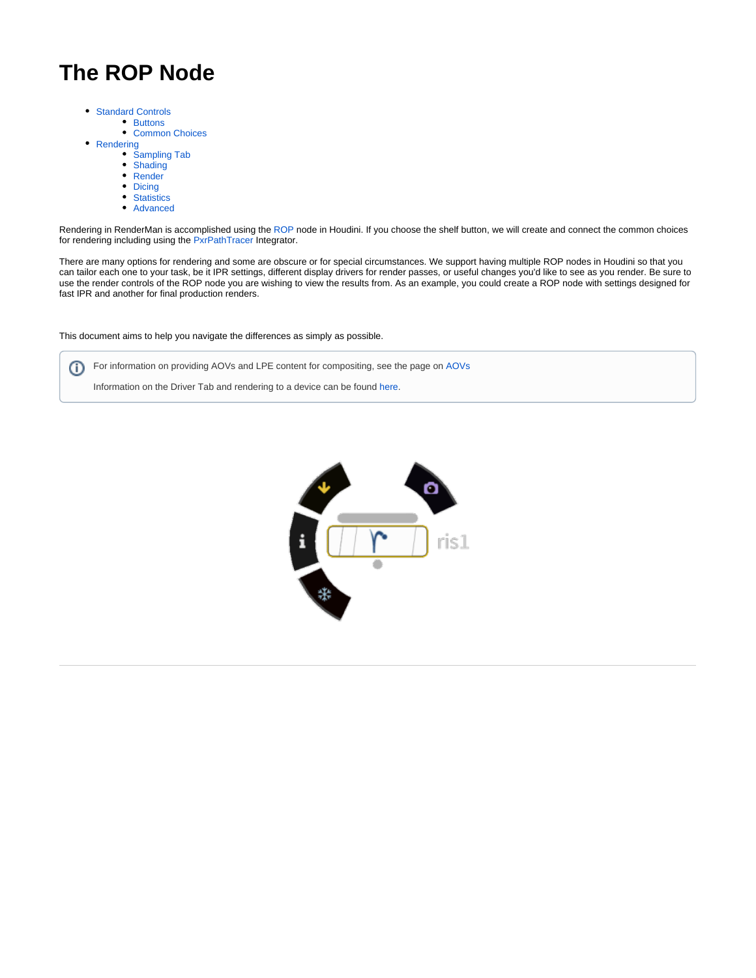# **The ROP Node**

- [Standard Controls](#page-1-0)
	- [Buttons](#page-1-1)
		- [Common Choices](#page-1-2)
- [Rendering](#page-1-3)
	- [Sampling Tab](#page-1-4)
	- [Shading](#page-2-0)
	- [Render](#page-3-0) • [Dicing](#page-4-0)
	-
	- [Statistics](#page-4-1) • [Advanced](#page-4-2)
	-

Rendering in RenderMan is accomplished using the [ROP](http://www.sidefx.com/docs/houdini/nodes/out/index.html) node in Houdini. If you choose the shelf button, we will create and connect the common choices for rendering including using the [PxrPathTracer](https://rmanwiki.pixar.com/display/REN22/PxrPathTracer) Integrator.

There are many options for rendering and some are obscure or for special circumstances. We support having multiple ROP nodes in Houdini so that you can tailor each one to your task, be it IPR settings, different display drivers for render passes, or useful changes you'd like to see as you render. Be sure to use the render controls of the ROP node you are wishing to view the results from. As an example, you could create a ROP node with settings designed for fast IPR and another for final production renders.

This document aims to help you navigate the differences as simply as possible.

For information on providing AOVs and LPE content for compositing, see the page on [AOVs](https://rmanwiki.pixar.com/display/RFH22/AOV+Setup+and+Viewing) ത

Information on the Driver Tab and rendering to a device can be found [here.](https://rmanwiki.pixar.com/display/RFH22/Rendering+to+a+Device)

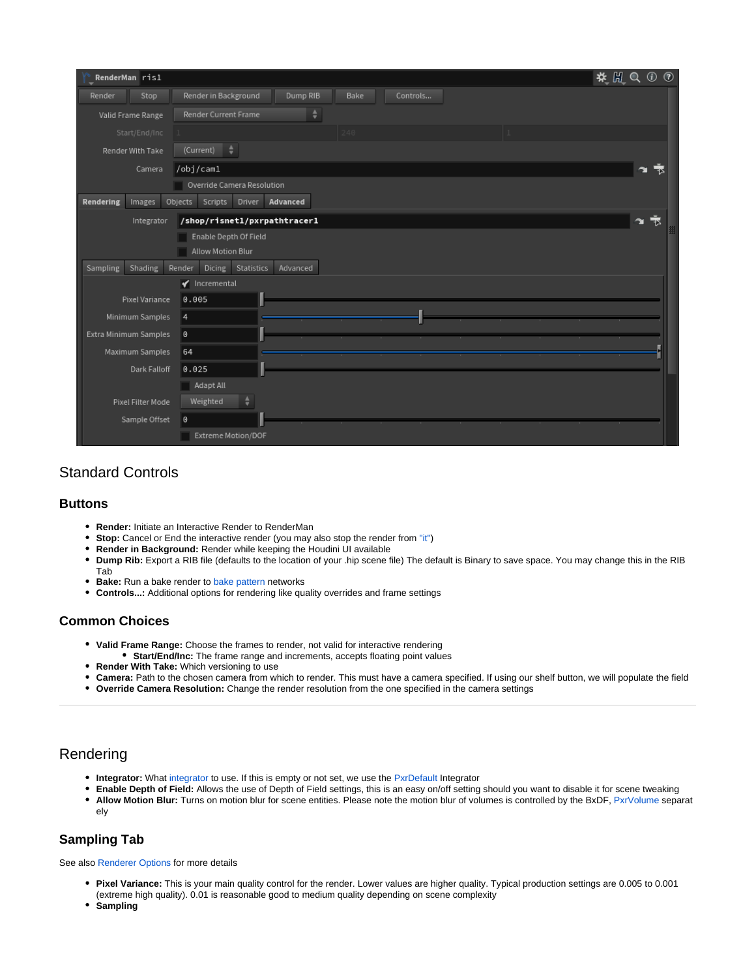| RenderMan ris1        | $\circledcirc$<br>発開Q                                |  |
|-----------------------|------------------------------------------------------|--|
| Stop<br>Render        | Dump RIB<br>Render in Background<br>Bake<br>Controls |  |
| Valid Frame Range     | Render Current Frame                                 |  |
| Start/End/Inc         |                                                      |  |
| Render With Take      | (Current)<br>÷                                       |  |
| Camera                | /obj/cam1<br>÷<br>∼                                  |  |
|                       | Override Camera Resolution                           |  |
| Rendering<br>Images   | Objects<br>Advanced<br>Scripts<br>Driver             |  |
| Integrator            | /shop/risnet1/pxrpathtracer1<br>₹<br>÷.              |  |
|                       | Enable Depth Of Field                                |  |
| Allow Motion Blur     |                                                      |  |
| Sampling<br>Shading   | Advanced<br>Render<br>Dicing<br>Statistics           |  |
|                       | $\blacktriangledown$ Incremental                     |  |
| Pixel Variance        | 0.005                                                |  |
| Minimum Samples       | 4                                                    |  |
| Extra Minimum Samples | 0                                                    |  |
| Maximum Samples       | 64                                                   |  |
| Dark Falloff          | 0.025                                                |  |
|                       | Adapt All                                            |  |
| Pixel Filter Mode     | ÷<br>Weighted                                        |  |
| Sample Offset         | 0                                                    |  |
|                       | Extreme Motion/DOF                                   |  |

# <span id="page-1-0"></span>Standard Controls

#### <span id="page-1-1"></span>**Buttons**

- **Render:** Initiate an Interactive Render to RenderMan
- $\bullet$ **Stop:** Cancel or End the interactive render (you may also stop the render from ["it"\)](https://rmanwiki.pixar.com/display/REN22/Image+Tool)
- **Render in Background:** Render while keeping the Houdini UI available
- **Dump Rib:** Export a RIB file (defaults to the location of your .hip scene file) The default is Binary to save space. You may change this in the RIB Tab
- **Bake:** Run a bake render to [bake pattern](https://rmanwiki.pixar.com/display/REN22/Baking) networks
- **Controls...:** Additional options for rendering like quality overrides and frame settings

## <span id="page-1-2"></span>**Common Choices**

- **Valid Frame Range:** Choose the frames to render, not valid for interactive rendering
	- **Start/End/Inc:** The frame range and increments, accepts floating point values
- **Render With Take:** Which versioning to use
- **Camera:** Path to the chosen camera from which to render. This must have a camera specified. If using our shelf button, we will populate the field
- **Override Camera Resolution:** Change the render resolution from the one specified in the camera settings

# <span id="page-1-3"></span>Rendering

- **Integrator:** What [integrator](https://rmanwiki.pixar.com/display/REN22/Integrators) to use. If this is empty or not set, we use the [PxrDefault](https://rmanwiki.pixar.com/display/REN22/PxrDefault) Integrator
- **Enable Depth of Field:** Allows the use of Depth of Field settings, this is an easy on/off setting should you want to disable it for scene tweaking • Allow Motion Blur: Turns on motion blur for scene entities. Please note the motion blur of volumes is controlled by the BxDF, [PxrVolume](https://rmanwiki.pixar.com/display/REN22/PxrVolume) separat ely

## <span id="page-1-4"></span>**Sampling Tab**

See also [Renderer Options](https://rmanwiki.pixar.com/display/REN22/Renderer+Options) for more details

- **Pixel Variance:** This is your main quality control for the render. Lower values are higher quality. Typical production settings are 0.005 to 0.001 (extreme high quality). 0.01 is reasonable good to medium quality depending on scene complexity
- **Sampling**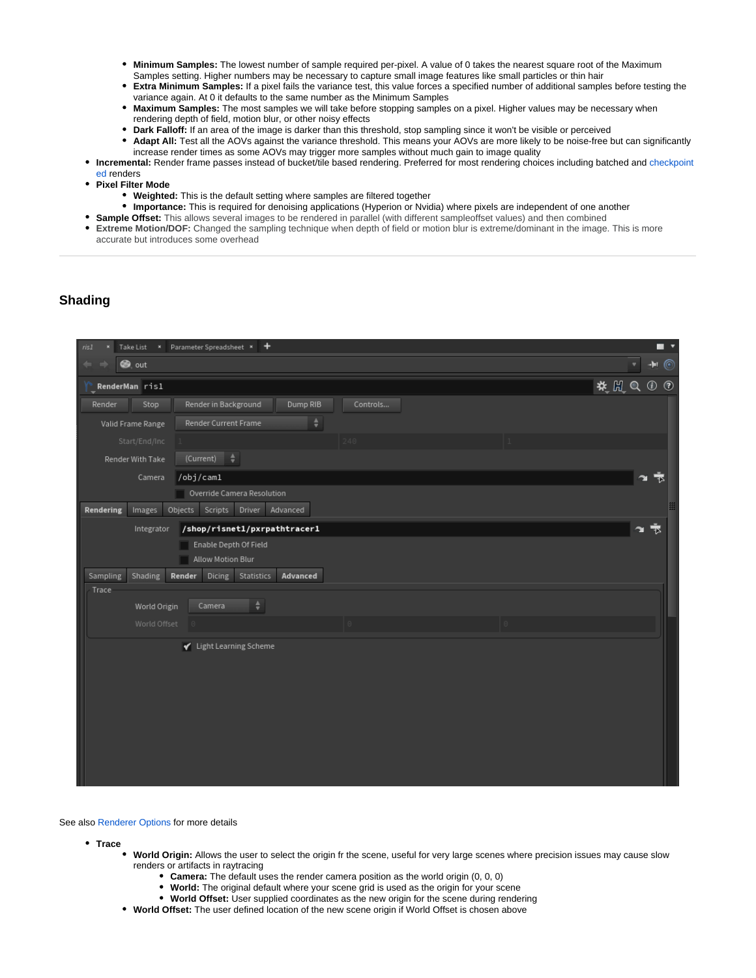- **Minimum Samples:** The lowest number of sample required per-pixel. A value of 0 takes the nearest square root of the Maximum Samples setting. Higher numbers may be necessary to capture small image features like small particles or thin hair
- **Extra Minimum Samples:** If a pixel fails the variance test, this value forces a specified number of additional samples before testing the variance again. At 0 it defaults to the same number as the Minimum Samples
- **Maximum Samples:** The most samples we will take before stopping samples on a pixel. Higher values may be necessary when rendering depth of field, motion blur, or other noisy effects
- **Dark Falloff:** If an area of the image is darker than this threshold, stop sampling since it won't be visible or perceived
- Adapt All: Test all the AOVs against the variance threshold. This means your AOVs are more likely to be noise-free but can significantly increase render times as some AOVs may trigger more samples without much gain to image quality
- **Incremental:** Render frame passes instead of bucket/tile based rendering. Preferred for most rendering choices including batched and [checkpoint](https://rmanwiki.pixar.com/display/REN22/Checkpointing+and+Recovery) [ed](https://rmanwiki.pixar.com/display/REN22/Checkpointing+and+Recovery) renders
- **Pixel Filter Mode**
	- **Weighted:** This is the default setting where samples are filtered together
	- **Importance:** This is required for denoising applications (Hyperion or Nvidia) where pixels are independent of one another
- **Sample Offset:** This allows several images to be rendered in parallel (with different sampleoffset values) and then combined
- **Extreme Motion/DOF:** Changed the sampling technique when depth of field or motion blur is extreme/dominant in the image. This is more accurate but introduces some overhead

#### <span id="page-2-0"></span>**Shading**

| × Parameter Spreadsheet × +<br>Take List<br>ris1                         | . .                                                  |
|--------------------------------------------------------------------------|------------------------------------------------------|
| <b>S</b> out                                                             | $\bullet$ $\bullet$<br>۷                             |
| RenderMan risl                                                           | $\mathbf{H} \boxtimes \mathbf{H} \otimes \mathbf{H}$ |
| Dump RIB<br>Stop<br>Render in Background<br>Controls<br>Render           |                                                      |
| Render Current Frame<br>÷<br>Valid Frame Range                           |                                                      |
| Start/End/Inc<br>240                                                     |                                                      |
| (Current)<br>÷<br>Render With Take                                       |                                                      |
| $\text{/obj/cam1}$<br>Camera                                             |                                                      |
| Override Camera Resolution                                               |                                                      |
| Driver Advanced<br>Objects Scripts<br>Rendering<br>Images                |                                                      |
| /shop/risnet1/pxrpathtracer1<br>Integrator                               | 1×                                                   |
| Enable Depth Of Field                                                    |                                                      |
| Allow Motion Blur                                                        |                                                      |
| Advanced<br>Shading<br>Render<br><b>Dicing</b><br>Statistics<br>Sampling |                                                      |
| Trace                                                                    |                                                      |
| $\div$<br>Camera<br>World Origin                                         |                                                      |
| World Offset                                                             |                                                      |
| √ Light Learning Scheme                                                  |                                                      |
|                                                                          |                                                      |
|                                                                          |                                                      |
|                                                                          |                                                      |
|                                                                          |                                                      |
|                                                                          |                                                      |
|                                                                          |                                                      |
|                                                                          |                                                      |
|                                                                          |                                                      |
|                                                                          |                                                      |

See also [Renderer Options](https://rmanwiki.pixar.com/display/REN22/Renderer+Options) for more details

**Trace**

- **World Origin:** Allows the user to select the origin fr the scene, useful for very large scenes where precision issues may cause slow renders or artifacts in raytracing
	- **Camera:** The default uses the render camera position as the world origin (0, 0, 0)
	- **World:** The original default where your scene grid is used as the origin for your scene
	- **World Offset:** User supplied coordinates as the new origin for the scene during rendering
- **World Offset:** The user defined location of the new scene origin if World Offset is chosen above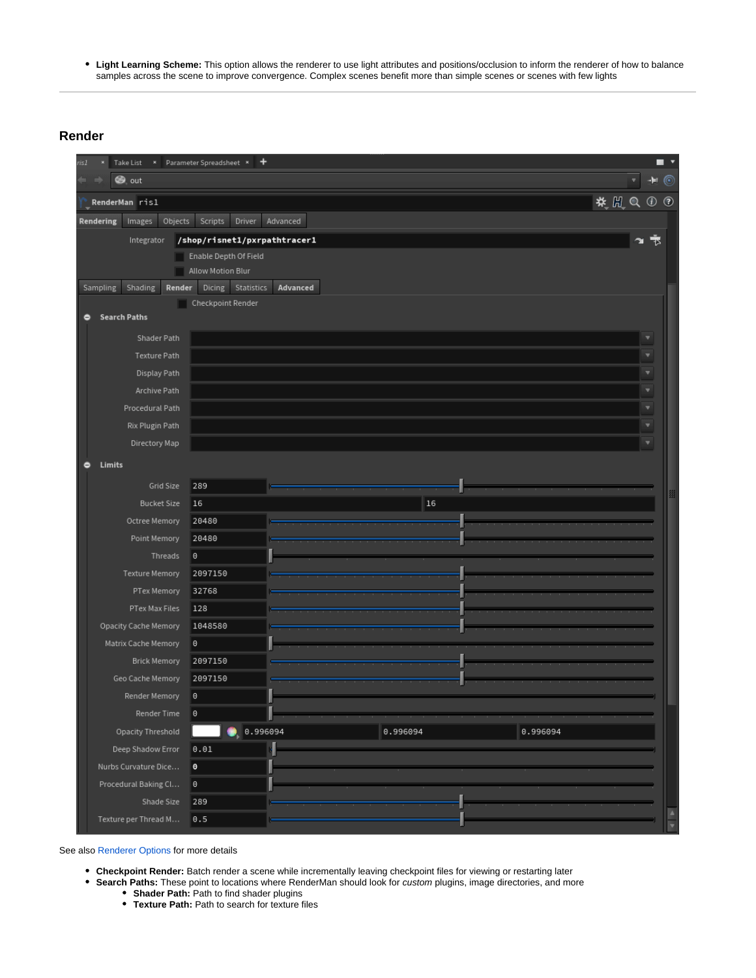**Light Learning Scheme:** This option allows the renderer to use light attributes and positions/occlusion to inform the renderer of how to balance samples across the scene to improve convergence. Complex scenes benefit more than simple scenes or scenes with few lights

## <span id="page-3-0"></span>**Render**

| × Parameter Spreadsheet ×<br>۰<br>isI<br>Take List              | п<br>$\overline{\phantom{a}}$                     |
|-----------------------------------------------------------------|---------------------------------------------------|
| <b>S</b> out                                                    | $\blacksquare$<br>۷                               |
| RenderMan ris1                                                  | $\mathcal{H} \times \mathbb{R} \times \mathbb{R}$ |
| Objects<br>Scripts<br>Driver<br>Advanced<br>Rendering<br>Images |                                                   |
| /shop/risnet1/pxrpathtracer1<br>Integrator                      | ¥<br>下                                            |
| Enable Depth Of Field                                           |                                                   |
| Allow Motion Blur                                               |                                                   |
| Dicing Statistics<br>Shading<br>Sampling<br>Render<br>Advanced  |                                                   |
| Checkpoint Render<br><b>Search Paths</b><br>۰                   |                                                   |
| Shader Path                                                     | v                                                 |
| Texture Path                                                    | v                                                 |
| Display Path                                                    | v                                                 |
| Archive Path                                                    | v                                                 |
| Procedural Path                                                 | ۷                                                 |
| Rix Plugin Path                                                 | v                                                 |
| Directory Map                                                   |                                                   |
| Limits<br>۰                                                     |                                                   |
| Grid Size<br>289                                                |                                                   |
| $16\,$<br><b>Bucket Size</b><br>16                              | 用                                                 |
| 20480<br>Octree Memory                                          |                                                   |
| Point Memory<br>20480                                           |                                                   |
| $_{\tiny \odot}$<br>Threads                                     |                                                   |
| 2097150<br>Texture Memory                                       |                                                   |
| PTex Memory<br>32768                                            |                                                   |
| PTex Max Files<br>128                                           |                                                   |
| Opacity Cache Memory<br>1048580                                 |                                                   |
| Matrix Cache Memory<br>$^\circ$                                 |                                                   |
| 2097150<br><b>Brick Memory</b>                                  |                                                   |
| 2097150<br>Geo Cache Memory                                     |                                                   |
| $_{\tiny \odot}$<br>Render Memory                               |                                                   |
| $_{\tiny \odot}$<br>Render Time                                 |                                                   |
| 0.996094<br>0.996094<br>0.996094<br>Opacity Threshold           |                                                   |
| 0.01<br>Deep Shadow Error                                       |                                                   |
| $\pmb{\Theta}$<br>Nurbs Curvature Dice                          |                                                   |
| Procedural Baking Cl<br>O.                                      |                                                   |
| Shade Size<br>289                                               |                                                   |
| Texture per Thread M<br>0.5                                     | $\frac{1}{\sqrt{2}}$                              |

See also [Renderer Options](https://rmanwiki.pixar.com/display/REN22/Renderer+Options) for more details

- **Checkpoint Render:** Batch render a scene while incrementally leaving checkpoint files for viewing or restarting later
- **Search Paths:** These point to locations where RenderMan should look for custom plugins, image directories, and more
	- **Shader Path:** Path to find shader plugins
	- **Texture Path:** Path to search for texture files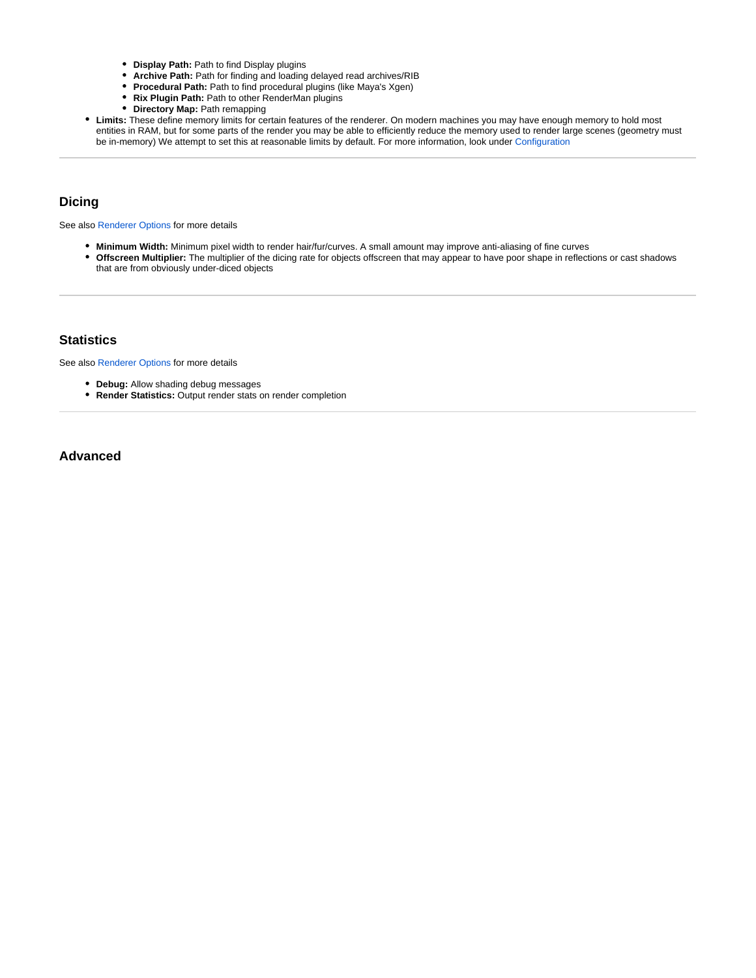- **Display Path:** Path to find Display plugins
- **Archive Path:** Path for finding and loading delayed read archives/RIB
- **Procedural Path:** Path to find procedural plugins (like Maya's Xgen)
- **Rix Plugin Path:** Path to other RenderMan plugins
- **Directory Map:** Path remapping
- **Limits:** These define memory limits for certain features of the renderer. On modern machines you may have enough memory to hold most entities in RAM, but for some parts of the render you may be able to efficiently reduce the memory used to render large scenes (geometry must be in-memory) We attempt to set this at reasonable limits by default. For more information, look under [Configuration](https://rmanwiki.pixar.com/display/REN22/Renderer+Options#RendererOptions-Configuration)

### <span id="page-4-0"></span>**Dicing**

See also [Renderer Options](https://rmanwiki.pixar.com/display/REN22/Renderer+Options) for more details

- **Minimum Width:** Minimum pixel width to render hair/fur/curves. A small amount may improve anti-aliasing of fine curves
- **Offscreen Multiplier:** The multiplier of the dicing rate for objects offscreen that may appear to have poor shape in reflections or cast shadows that are from obviously under-diced objects

#### <span id="page-4-1"></span>**Statistics**

See also [Renderer Options](https://rmanwiki.pixar.com/display/REN22/Renderer+Options) for more details

- **Debug:** Allow shading debug messages
- **Render Statistics:** Output render stats on render completion

<span id="page-4-2"></span>**Advanced**